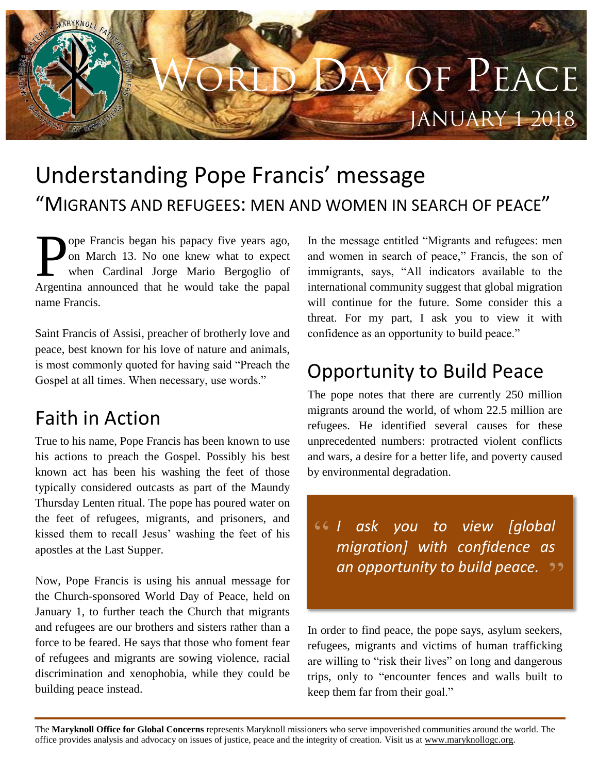# Y OF PEACE **JANUARY 1 2018**

## Understanding Pope Francis' message "MIGRANTS AND REFUGEES: MEN AND WOMEN IN SEARCH OF PEACE"

ope Francis began his papacy five years ago, on March 13. No one knew what to expect when Cardinal Jorge Mario Bergoglio of Argentina announced that he would take the papal name Francis. P

Saint Francis of Assisi, preacher of brotherly love and peace, best known for his love of nature and animals, is most commonly quoted for having said "Preach the Gospel at all times. When necessary, use words."

#### Faith in Action

True to his name, Pope Francis has been known to use his actions to preach the Gospel. Possibly his best known act has been his washing the feet of those typically considered outcasts as part of the Maundy Thursday Lenten ritual. The pope has poured water on the feet of refugees, migrants, and prisoners, and kissed them to recall Jesus' washing the feet of his apostles at the Last Supper.

Now, Pope Francis is using his annual message for the Church-sponsored World Day of Peace, held on January 1, to further teach the Church that migrants and refugees are our brothers and sisters rather than a force to be feared. He says that those who foment fear of refugees and migrants are sowing violence, racial discrimination and xenophobia, while they could be building peace instead.

In the message entitled "Migrants and refugees: men and women in search of peace," Francis, the son of immigrants, says, "All indicators available to the international community suggest that global migration will continue for the future. Some consider this a threat. For my part, I ask you to view it with confidence as an opportunity to build peace."

### Opportunity to Build Peace

The pope notes that there are currently 250 million migrants around the world, of whom 22.5 million are refugees. He identified several causes for these unprecedented numbers: protracted violent conflicts and wars, a desire for a better life, and poverty caused by environmental degradation.

*I ask you to view [global migration] with confidence as an opportunity to build peace.*

In order to find peace, the pope says, asylum seekers, refugees, migrants and victims of human trafficking are willing to "risk their lives" on long and dangerous trips, only to "encounter fences and walls built to keep them far from their goal."

The **Maryknoll Office for Global Concerns** represents Maryknoll missioners who serve impoverished communities around the world. The office provides analysis and advocacy on issues of justice, peace and the integrity of creation. Visit us at [www.maryknollogc.org.](http://www.maryknollogc.org/)